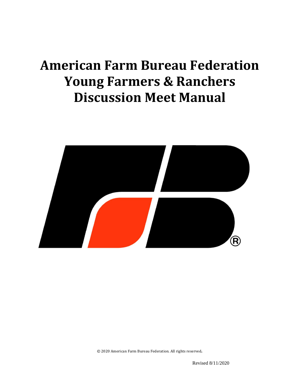# **American Farm Bureau Federation Young Farmers & Ranchers Discussion Meet Manual**



© 2020 American Farm Bureau Federation. All rights reserved.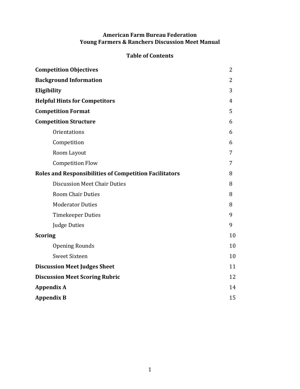### **American Farm Bureau Federation Young Farmers & Ranchers Discussion Meet Manual**

#### **Table of Contents**

| <b>Competition Objectives</b>                                 | 2  |
|---------------------------------------------------------------|----|
| <b>Background Information</b>                                 | 2  |
| Eligibility                                                   | 3  |
| <b>Helpful Hints for Competitors</b>                          | 4  |
| <b>Competition Format</b>                                     | 5  |
| <b>Competition Structure</b>                                  | 6  |
| <b>Orientations</b>                                           | 6  |
| Competition                                                   | 6  |
| Room Layout                                                   | 7  |
| <b>Competition Flow</b>                                       | 7  |
| <b>Roles and Responsibilities of Competition Facilitators</b> | 8  |
| <b>Discussion Meet Chair Duties</b>                           | 8  |
| <b>Room Chair Duties</b>                                      | 8  |
| <b>Moderator Duties</b>                                       | 8  |
| <b>Timekeeper Duties</b>                                      | 9  |
| <b>Judge Duties</b>                                           | 9  |
| <b>Scoring</b>                                                | 10 |
| <b>Opening Rounds</b>                                         | 10 |
| <b>Sweet Sixteen</b>                                          | 10 |
| <b>Discussion Meet Judges Sheet</b>                           | 11 |
| <b>Discussion Meet Scoring Rubric</b>                         | 12 |
| <b>Appendix A</b>                                             | 14 |
| <b>Appendix B</b>                                             | 15 |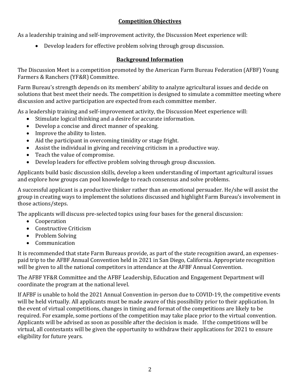### **Competition Objectives**

As a leadership training and self-improvement activity, the Discussion Meet experience will:

• Develop leaders for effective problem solving through group discussion.

### **Background Information**

The Discussion Meet is a competition promoted by the American Farm Bureau Federation (AFBF) Young Farmers & Ranchers (YF&R) Committee.

Farm Bureau's strength depends on its members' ability to analyze agricultural issues and decide on solutions that best meet their needs. The competition is designed to simulate a committee meeting where discussion and active participation are expected from each committee member.

As a leadership training and self-improvement activity, the Discussion Meet experience will:

- Stimulate logical thinking and a desire for accurate information.
- Develop a concise and direct manner of speaking.
- Improve the ability to listen.
- Aid the participant in overcoming timidity or stage fright.
- Assist the individual in giving and receiving criticism in a productive way.
- Teach the value of compromise.
- Develop leaders for effective problem solving through group discussion.

Applicants build basic discussion skills, develop a keen understanding of important agricultural issues and explore how groups can pool knowledge to reach consensus and solve problems.

A successful applicant is a productive thinker rather than an emotional persuader. He/she will assist the group in creating ways to implement the solutions discussed and highlight Farm Bureau's involvement in those actions/steps.

The applicants will discuss pre-selected topics using four bases for the general discussion:

- Cooperation
- Constructive Criticism
- Problem Solving
- Communication

It is recommended that state Farm Bureaus provide, as part of the state recognition award, an expensespaid trip to the AFBF Annual Convention held in 2021 in San Diego, California. Appropriate recognition will be given to all the national competitors in attendance at the AFBF Annual Convention.

The AFBF YF&R Committee and the AFBF Leadership, Education and Engagement Department will coordinate the program at the national level.

If AFBF is unable to hold the 2021 Annual Convention in-person due to COVID-19, the competitive events will be held virtually. All applicants must be made aware of this possibility prior to their application. In the event of virtual competitions, changes in timing and format of the competitions are likely to be required. For example, some portions of the competition may take place prior to the virtual convention. Applicants will be advised as soon as possible after the decision is made. If the competitions will be virtual, all contestants will be given the opportunity to withdraw their applications for 2021 to ensure eligibility for future years.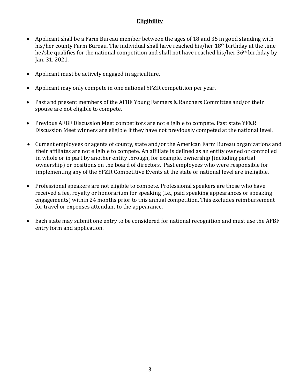#### **Eligibility**

- Applicant shall be a Farm Bureau member between the ages of 18 and 35 in good standing with his/her county Farm Bureau. The individual shall have reached his/her 18<sup>th</sup> birthday at the time he/she qualifies for the national competition and shall not have reached his/her 36th birthday by Jan. 31, 2021.
- Applicant must be actively engaged in agriculture.
- Applicant may only compete in one national YF&R competition per year.
- Past and present members of the AFBF Young Farmers & Ranchers Committee and/or their spouse are not eligible to compete.
- Previous AFBF Discussion Meet competitors are not eligible to compete. Past state YF&R Discussion Meet winners are eligible if they have not previously competed at the national level.
- Current employees or agents of county, state and/or the American Farm Bureau organizations and their affiliates are not eligible to compete. An affiliate is defined as an entity owned or controlled in whole or in part by another entity through, for example, ownership (including partial ownership) or positions on the board of directors. Past employees who were responsible for implementing any of the YF&R Competitive Events at the state or national level are ineligible.
- Professional speakers are not eligible to compete. Professional speakers are those who have received a fee, royalty or honorarium for speaking (i.e., paid speaking appearances or speaking engagements) within 24 months prior to this annual competition. This excludes reimbursement for travel or expenses attendant to the appearance.
- Each state may submit one entry to be considered for national recognition and must use the AFBF entry form and application.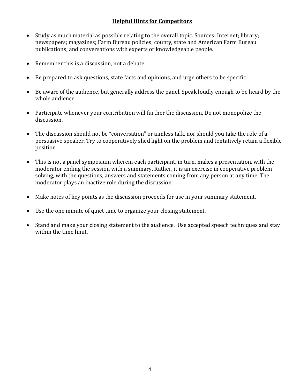#### **Helpful Hints for Competitors**

- Study as much material as possible relating to the overall topic. Sources: Internet; library; newspapers; magazines; Farm Bureau policies; county, state and American Farm Bureau publications; and conversations with experts or knowledgeable people.
- Remember this is a discussion, not a debate.
- Be prepared to ask questions, state facts and opinions, and urge others to be specific.
- Be aware of the audience, but generally address the panel. Speak loudly enough to be heard by the whole audience.
- Participate whenever your contribution will further the discussion. Do not monopolize the discussion.
- The discussion should not be "conversation" or aimless talk, nor should you take the role of a persuasive speaker. Try to cooperatively shed light on the problem and tentatively retain a flexible position.
- This is not a panel symposium wherein each participant, in turn, makes a presentation, with the moderator ending the session with a summary. Rather, it is an exercise in cooperative problem solving, with the questions, answers and statements coming from any person at any time. The moderator plays an inactive role during the discussion.
- Make notes of key points as the discussion proceeds for use in your summary statement.
- Use the one minute of quiet time to organize your closing statement.
- Stand and make your closing statement to the audience. Use accepted speech techniques and stay within the time limit.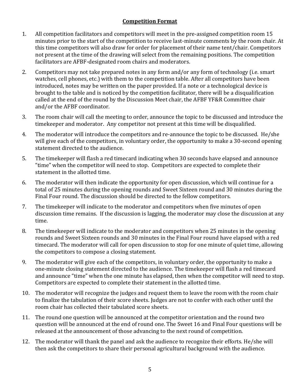#### **Competition Format**

- 1. All competition facilitators and competitors will meet in the pre-assigned competition room 15 minutes prior to the start of the competition to receive last-minute comments by the room chair. At this time competitors will also draw for order for placement of their name tent/chair. Competitors not present at the time of the drawing will select from the remaining positions. The competition facilitators are AFBF-designated room chairs and moderators.
- 2. Competitors may not take prepared notes in any form and/or any form of technology (i.e. smart watches, cell phones, etc.) with them to the competition table. After all competitors have been introduced, notes may be written on the paper provided. If a note or a technological device is brought to the table and is noticed by the competition facilitator, there will be a disqualification called at the end of the round by the Discussion Meet chair, the AFBF YF&R Committee chair and/or the AFBF coordinator.
- 3. The room chair will call the meeting to order, announce the topic to be discussed and introduce the timekeeper and moderator. Any competitor not present at this time will be disqualified.
- 4. The moderator will introduce the competitors and re-announce the topic to be discussed. He/she will give each of the competitors, in voluntary order, the opportunity to make a 30-second opening statement directed to the audience.
- 5. The timekeeper will flash a red timecard indicating when 30 seconds have elapsed and announce "time" when the competitor will need to stop. Competitors are expected to complete their statement in the allotted time.
- 6. The moderator will then indicate the opportunity for open discussion, which will continue for a total of 25 minutes during the opening rounds and Sweet Sixteen round and 30 minutes during the Final Four round. The discussion should be directed to the fellow competitors.
- 7. The timekeeper will indicate to the moderator and competitors when five minutes of open discussion time remains. If the discussion is lagging, the moderator may close the discussion at any time.
- 8. The timekeeper will indicate to the moderator and competitors when 25 minutes in the opening rounds and Sweet Sixteen rounds and 30 minutes in the Final Four round have elapsed with a red timecard. The moderator will call for open discussion to stop for one minute of quiet time, allowing the competitors to compose a closing statement.
- 9. The moderator will give each of the competitors, in voluntary order, the opportunity to make a one-minute closing statement directed to the audience. The timekeeper will flash a red timecard and announce "time" when the one minute has elapsed, then when the competitor will need to stop. Competitors are expected to complete their statement in the allotted time.
- 10. The moderator will recognize the judges and request them to leave the room with the room chair to finalize the tabulation of their score sheets. Judges are not to confer with each other until the room chair has collected their tabulated score sheets.
- 11. The round one question will be announced at the competitor orientation and the round two question will be announced at the end of round one. The Sweet 16 and Final Four questions will be released at the announcement of those advancing to the next round of competition.
- 12. The moderator will thank the panel and ask the audience to recognize their efforts. He/she will then ask the competitors to share their personal agricultural background with the audience.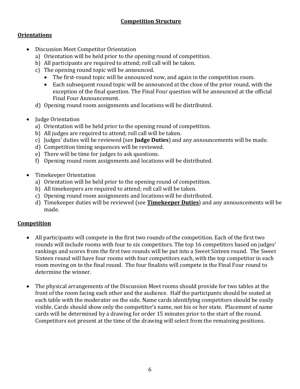### **Competition Structure**

#### **Orientations**

- Discussion Meet Competitor Orientation
	- a) Orientation will be held prior to the opening round of competition.
	- b) All participants are required to attend; roll call will be taken.
	- c) The opening round topic will be announced.
		- The first-round topic will be announced now, and again in the competition room.
		- Each subsequent round topic will be announced at the close of the prior round, with the exception of the final question. The Final Four question will be announced at the official Final Four Announcement.
	- d) Opening round room assignments and locations will be distributed.
- Judge Orientation
	- a) Orientation will be held prior to the opening round of competition.
	- b) All judges are required to attend; roll call will be taken.
	- c) Judges' duties will be reviewed (see **Judge Duties**) and any announcements will be made.
	- d) Competition timing sequences will be reviewed.
	- e) There will be time for judges to ask questions.
	- f) Opening round room assignments and locations will be distributed.
- Timekeeper Orientation
	- a) Orientation will be held prior to the opening round of competition.
	- b) All timekeepers are required to attend; roll call will be taken.
	- c) Opening round room assignments and locations will be distributed.
	- d) Timekeeper duties will be reviewed (see **Timekeeper Duties**) and any announcements will be made.

### **Competition**

- All participants will compete in the first two rounds of the competition. Each of the first two rounds will include rooms with four to six competitors. The top 16 competitors based on judges' rankings and scores from the first two rounds will be put into a Sweet Sixteen round. The Sweet Sixteen round will have four rooms with four competitors each, with the top competitor in each room moving on to the final round. The four finalists will compete in the Final Four round to determine the winner.
- The physical arrangements of the Discussion Meet rooms should provide for two tables at the front of the room facing each other and the audience. Half the participants should be seated at each table with the moderator on the side. Name cards identifying competitors should be easily visible. Cards should show only the competitor's name, not his or her state. Placement of name cards will be determined by a drawing for order 15 minutes prior to the start of the round. Competitors not present at the time of the drawing will select from the remaining positions.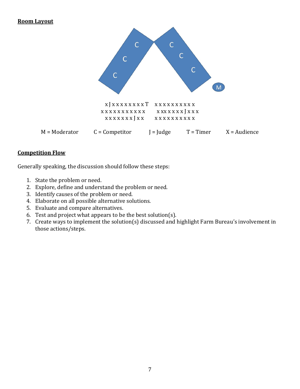#### **Room Layout**



#### **Competition Flow**

Generally speaking, the discussion should follow these steps:

- 1. State the problem or need.
- 2. Explore, define and understand the problem or need.
- 3. Identify causes of the problem or need.
- 4. Elaborate on all possible alternative solutions.
- 5. Evaluate and compare alternatives.
- 6. Test and project what appears to be the best solution(s).
- 7. Create ways to implement the solution(s) discussed and highlight Farm Bureau's involvement in those actions/steps.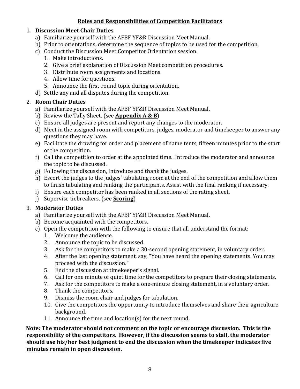#### **Roles and Responsibilities of Competition Facilitators**

#### 1. **Discussion Meet Chair Duties**

- a) Familiarize yourself with the AFBF YF&R Discussion Meet Manual.
- b) Prior to orientations, determine the sequence of topics to be used for the competition.
- c) Conduct the Discussion Meet Competitor Orientation session.
	- 1. Make introductions.
	- 2. Give a brief explanation of Discussion Meet competition procedures.
	- 3. Distribute room assignments and locations.
	- 4. Allow time for questions.
	- 5. Announce the first-round topic during orientation.
- d) Settle any and all disputes during the competition.

### 2. **Room Chair Duties**

- a) Familiarize yourself with the AFBF YF&R Discussion Meet Manual.
- b) Review the Tally Sheet. (see **Appendix A & B**)
- c) Ensure all judges are present and report any changes to the moderator.
- d) Meet in the assigned room with competitors, judges, moderator and timekeeper to answer any questions they may have.
- e) Facilitate the drawing for order and placement of name tents, fifteen minutes prior to the start of the competition.
- f) Call the competition to order at the appointed time. Introduce the moderator and announce the topic to be discussed.
- g) Following the discussion, introduce and thank the judges.
- h) Escort the judges to the judges' tabulating room at the end of the competition and allow them to finish tabulating and ranking the participants. Assist with the final ranking if necessary.
- i) Ensure each competitor has been ranked in all sections of the rating sheet.
- j) Supervise tiebreakers. (see **Scoring**)

### 3. **Moderator Duties**

- a) Familiarize yourself with the AFBF YF&R Discussion Meet Manual.
- b) Become acquainted with the competitors.
- c) Open the competition with the following to ensure that all understand the format:
	- 1. Welcome the audience.
	- 2. Announce the topic to be discussed.
	- 3. Ask for the competitors to make a 30-second opening statement, in voluntary order.
	- 4. After the last opening statement, say, "You have heard the opening statements. You may proceed with the discussion."
	- 5. End the discussion at timekeeper's signal.
	- 6. Call for one minute of quiet time for the competitors to prepare their closing statements.
	- 7. Ask for the competitors to make a one-minute closing statement, in a voluntary order.
	- 8. Thank the competitors.
	- 9. Dismiss the room chair and judges for tabulation.
	- 10. Give the competitors the opportunity to introduce themselves and share their agriculture background.
	- 11. Announce the time and location(s) for the next round.

**Note: The moderator should not comment on the topic or encourage discussion. This is the responsibility of the competitors. However, if the discussion seems to stall, the moderator should use his/her best judgment to end the discussion when the timekeeper indicates five minutes remain in open discussion.**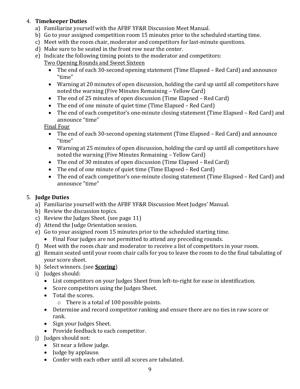#### 4. **Timekeeper Duties**

- a) Familiarize yourself with the AFBF YF&R Discussion Meet Manual.
- b) Go to your assigned competition room 15 minutes prior to the scheduled starting time.
- c) Meet with the room chair, moderator and competitors for last-minute questions.
- d) Make sure to be seated in the front row near the center.
- e) Indicate the following timing points to the moderator and competitors:

Two Opening Rounds and Sweet Sixteen

- The end of each 30-second opening statement (Time Elapsed Red Card) and announce "time"
- Warning at 20 minutes of open discussion, holding the card up until all competitors have noted the warning (Five Minutes Remaining – Yellow Card)
- The end of 25 minutes of open discussion (Time Elapsed Red Card)
- The end of one minute of quiet time (Time Elapsed Red Card)
- The end of each competitor's one-minute closing statement (Time Elapsed Red Card) and announce "time"

Final Four

- The end of each 30-second opening statement (Time Elapsed Red Card) and announce "time"
- Warning at 25 minutes of open discussion, holding the card up until all competitors have noted the warning (Five Minutes Remaining – Yellow Card)
- The end of 30 minutes of open discussion (Time Elapsed Red Card)
- The end of one minute of quiet time (Time Elapsed Red Card)
- The end of each competitor's one-minute closing statement (Time Elapsed Red Card) and announce "time"

### 5. **Judge Duties**

- a) Familiarize yourself with the AFBF YF&R Discussion Meet Judges' Manual.
- b) Review the discussion topics.
- c) Review the Judges Sheet. (see page 11)
- d) Attend the Judge Orientation session.
- e) Go to your assigned room 15 minutes prior to the scheduled starting time.
	- Final Four judges are not permitted to attend any preceding rounds.
- f) Meet with the room chair and moderator to receive a list of competitors in your room.
- g) Remain seated until your room chair calls for you to leave the room to do the final tabulating of your score sheet.
- h) Select winners. (see **Scoring**)
- i) Judges should:
	- List competitors on your Judges Sheet from left-to-right for ease in identification.
	- Score competitors using the Judges Sheet.
	- Total the scores.
		- o There is a total of 100 possible points.
	- Determine and record competitor ranking and ensure there are no ties in raw score or rank.
	- Sign your Judges Sheet.
	- Provide feedback to each competitor.
- j) Judges should not:
	- Sit near a fellow judge.
	- Judge by applause.
	- Confer with each other until all scores are tabulated.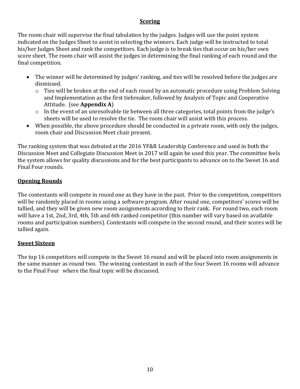#### **Scoring**

The room chair will supervise the final tabulation by the judges. Judges will use the point system indicated on the Judges Sheet to assist in selecting the winners. Each judge will be instructed to total his/her Judges Sheet and rank the competitors. Each judge is to break ties that occur on his/her own score sheet. The room chair will assist the judges in determining the final ranking of each round and the final competition.

- The winner will be determined by judges' ranking, and ties will be resolved before the judges are dismissed.
	- o Ties will be broken at the end of each round by an automatic procedure using Problem Solving and Implementation as the first tiebreaker, followed by Analysis of Topic and Cooperative Attitude. (see **Appendix A**)
	- o In the event of an unresolvable tie between all three categories, total points from the judge's sheets will be used to resolve the tie. The room chair will assist with this process.
- When possible, the above procedure should be conducted in a private room, with only the judges, room chair and Discussion Meet chair present.

The ranking system that was debuted at the 2016 YF&R Leadership Conference and used in both the Discussion Meet and Collegiate Discussion Meet in 2017 will again be used this year. The committee feels the system allows for quality discussions and for the best participants to advance on to the Sweet 16 and Final Four rounds.

#### **Opening Rounds**

The contestants will compete in round one as they have in the past. Prior to the competition, competitors will be randomly placed in rooms using a software program. After round one, competitors' scores will be tallied, and they will be given new room assignments according to their rank. For round two, each room will have a 1st, 2nd, 3rd, 4th, 5th and 6th ranked competitor (this number will vary based on available rooms and participation numbers). Contestants will compete in the second round, and their scores will be tallied again.

#### **Sweet Sixteen**

The top 16 competitors will compete in the Sweet 16 round and will be placed into room assignments in the same manner as round two. The winning contestant in each of the four Sweet 16 rooms will advance to the Final Four where the final topic will be discussed.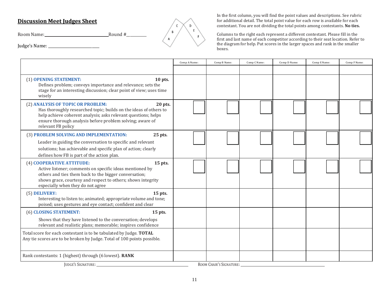#### **Discussion Meet Judges Sheet**

Room Name: \_\_\_\_\_\_\_\_\_\_\_\_\_\_\_\_\_\_\_\_\_\_\_\_\_\_\_\_\_\_\_ Round #\_\_\_\_\_\_\_\_\_\_\_

Judge's Name: \_\_\_\_\_\_\_\_\_\_\_\_\_\_\_\_\_\_\_\_\_\_\_\_\_\_\_\_

In the first column, you will find the point values and descriptions. See rubric for additional detail. The total point value for each row is available for each contestant. You are not dividing the total points among contestants. **No ties.**

Columns to the right each represent a different contestant. Please fill in the first and last name of each competitor according to their seat location. Refer to the diagram for help. Put scores in the larger spaces and rank in the smaller boxes.

|                                                                                                                                                                                                                                                                        | Comp A Name: | Comp B Name:            | Comp C Name: | Comp D Name: | Comp E Name: | Comp F Name: |
|------------------------------------------------------------------------------------------------------------------------------------------------------------------------------------------------------------------------------------------------------------------------|--------------|-------------------------|--------------|--------------|--------------|--------------|
|                                                                                                                                                                                                                                                                        |              |                         |              |              |              |              |
| (1) OPENING STATEMENT:<br>$10$ pts.<br>Defines problem; conveys importance and relevance; sets the<br>stage for an interesting discussion; clear point of view; uses time<br>wisely                                                                                    |              |                         |              |              |              |              |
| (2) ANALYSIS OF TOPIC OR PROBLEM:<br>20 pts.<br>Has thoroughly researched topic; builds on the ideas of others to<br>help achieve coherent analysis; asks relevant questions; helps<br>ensure thorough analysis before problem solving; aware of<br>relevant FB policy |              |                         |              |              |              |              |
| (3) PROBLEM SOLVING AND IMPLEMENTATION:<br>25 pts.<br>Leader in guiding the conversation to specific and relevant<br>solutions; has achievable and specific plan of action; clearly<br>defines how FB is part of the action plan.                                      |              |                         |              |              |              |              |
| (4) COOPERATIVE ATTITUDE:<br>15 pts.<br>Active listener; comments on specific ideas mentioned by<br>others and ties them back to the bigger conversation;<br>shows grace, courtesy and respect to others; shows integrity<br>especially when they do not agree         |              |                         |              |              |              |              |
| (5) DELIVERY:<br>15 pts.<br>Interesting to listen to; animated; appropriate volume and tone;<br>poised; uses gestures and eye contact; confident and clear                                                                                                             |              |                         |              |              |              |              |
| (6) CLOSING STATEMENT:<br>$15$ pts.<br>Shows that they have listened to the conversation; develops<br>relevant and realistic plans; memorable; inspires confidence                                                                                                     |              |                         |              |              |              |              |
| Total score for each contestant is to be tabulated by Judge. TOTAL<br>Any tie scores are to be broken by Judge. Total of 100 points possible.                                                                                                                          |              |                         |              |              |              |              |
| Rank contestants: 1 (highest) through (6 lowest). RANK                                                                                                                                                                                                                 |              |                         |              |              |              |              |
| <b>JUDGE'S SIGNATURE:</b>                                                                                                                                                                                                                                              |              | ROOM CHAIR'S SIGNATURE: |              |              |              |              |

 $\mathsf D$  $\mathsf C$  $\mathsf{E}$  $\,$  B F  $\overline{A}$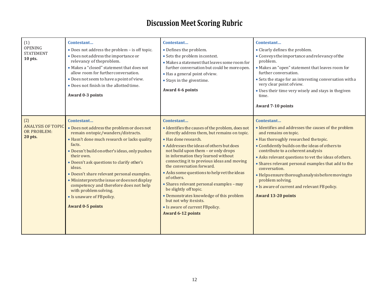## **Discussion Meet Scoring Rubric**

| (1)<br><b>OPENING</b><br><b>STATEMENT</b><br>10 pts.      | Contestant<br>• Does not address the problem - is off topic.<br>• Does not address the importance or<br>relevancy of the problem.<br>• Makes a "closed" statement that does not<br>allow room for further conversation.<br>· Does not seem to have a point of view.<br>• Does not finish in the allotted time.<br>Award 0-3 points                                                                                                                                                                         | Contestant<br>• Defines the problem.<br>• Sets the problem in context.<br>• Makes a statement that leaves some room for<br>further conversation but could be more open.<br>• Has a general point of view.<br>• Stays in the given time.<br>Award 4-6 points                                                                                                                                                                                                                                                                                                                                                         | Contestant<br>• Clearly defines the problem.<br>• Conveys the importance and relevancy of the<br>problem.<br>• Makes an "open" statement that leaves room for<br>further conversation.<br>• Sets the stage for an interesting conversation with a<br>very clear point of view.<br>• Uses their time very wisely and stays in the given<br>time.<br>Award 7-10 points                                                                                                                                                |
|-----------------------------------------------------------|------------------------------------------------------------------------------------------------------------------------------------------------------------------------------------------------------------------------------------------------------------------------------------------------------------------------------------------------------------------------------------------------------------------------------------------------------------------------------------------------------------|---------------------------------------------------------------------------------------------------------------------------------------------------------------------------------------------------------------------------------------------------------------------------------------------------------------------------------------------------------------------------------------------------------------------------------------------------------------------------------------------------------------------------------------------------------------------------------------------------------------------|---------------------------------------------------------------------------------------------------------------------------------------------------------------------------------------------------------------------------------------------------------------------------------------------------------------------------------------------------------------------------------------------------------------------------------------------------------------------------------------------------------------------|
| (2)<br><b>ANALYSIS OF TOPIC</b><br>OR PROBLEM:<br>20 pts. | Contestant<br>• Does not address the problem or does not<br>remain ontopic/wanders/distracts.<br>· Hasn't done much research or lacks quality<br>facts.<br>· Doesn't build on other's ideas, only pushes<br>their own.<br>• Doesn't ask questions to clarify other's<br>ideas.<br>· Doesn't share relevant personal examples.<br>· Misinterprets the issue or does not display<br>competency and therefore does not help<br>with problem solving.<br>• Is unaware of FB policy.<br><b>Award 0-5 points</b> | Contestant<br>• Identifies the causes of the problem, does not<br>directly address them, but remains on topic.<br>· Has done research.<br>• Addresses the ideas of others but does<br>not build upon them - or only drops<br>in information they learned without<br>connecting it to previous ideas and moving<br>the conversation forward.<br>• Asks some questions to help vet the ideas<br>of others.<br>• Shares relevant personal examples - may<br>be slightly off topic.<br>• Demonstrates knowledge of this problem<br>but not why itexists.<br>• Is aware of current FBpolicy.<br><b>Award 6-12 points</b> | Contestant<br>• Identifies and addresses the causes of the problem<br>and remains on topic.<br>• Has thoroughly researched the topic.<br>• Confidently builds on the ideas of others to<br>contribute to a coherent analysis<br>• Asks relevant questions to vet the ideas of others.<br>• Shares relevant personal examples that add to the<br>conversation.<br>• Helpsensure thorough analysis before moving to<br>problem solving.<br>• Is aware of current and relevant FB policy.<br><b>Award 13-20 points</b> |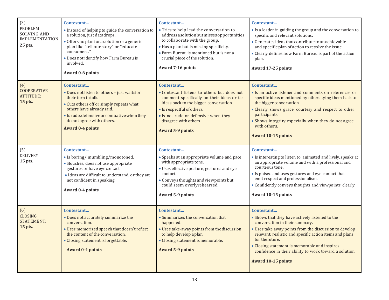| (3)<br>PROBLEM<br><b>SOLVING AND</b><br><b>IMPLEMENTATION</b><br>25 pts. | Contestant<br>• Instead of helping to guide the conversation to<br>a solution, just datadrops.<br>• Offers no plan for a solution or a generic<br>plan like "tell our story" or "educate<br>consumers."<br>. Does not identify how Farm Bureau is<br>involved.<br>Award 0-6 points | Contestant<br>• Tries to help lead the conversation to<br>addressasolutionbutmissesopportunities<br>to collaborate with the group.<br>• Has a plan but is missing specificity.<br>• Farm Bureau is mentioned but is not a<br>crucial piece of the solution.<br>Award 7-16 points | Contestant<br>• Is a leader in guiding the group and the conversation to<br>specific and relevant solutions.<br>· Generates ideas that contribute to an achievable<br>and specific plan of action to resolve the issue.<br>• Clearly defines how Farm Bureau is part of the action<br>plan.<br>Award 17-25 points                                                               |
|--------------------------------------------------------------------------|------------------------------------------------------------------------------------------------------------------------------------------------------------------------------------------------------------------------------------------------------------------------------------|----------------------------------------------------------------------------------------------------------------------------------------------------------------------------------------------------------------------------------------------------------------------------------|---------------------------------------------------------------------------------------------------------------------------------------------------------------------------------------------------------------------------------------------------------------------------------------------------------------------------------------------------------------------------------|
| (4)<br><b>COOPERATIVE</b><br><b>ATTITUDE:</b><br>15 pts.                 | Contestant<br>• Does not listen to others - just waitsfor<br>their turn to talk.<br>• Cuts others off or simply repeats what<br>others have already said.<br>· Isrude, defensive or combative when they<br>do not agree with others.<br><b>Award 0-4 points</b>                    | Contestant<br>• Contestant listens to others but does not<br>comment specifically on their ideas or tie<br>ideas back to the bigger conversation.<br>· Is respectful of others.<br>• Is not rude or defensive when they<br>disagree with others.<br><b>Award 5-9 points</b>      | Contestant<br>• Is an active listener and comments on references or<br>specific ideas mentioned by others tying them back to<br>the bigger conversation.<br>• Clearly shows grace, courtesy and respect to other<br>participants.<br>• Shows integrity especially when they do not agree<br>with others.<br><b>Award 10-15 points</b>                                           |
| (5)<br>DELIVERY:<br>15 pts.                                              | Contestant<br>· Is boring/mumbling/monotoned.<br>· Slouches, does not use appropriate<br>gestures or have eye contact<br>· Ideas are difficult to understand, or they are<br>not confident in speaking.<br>Award 0-4 points                                                        | Contestant<br>• Speaks at an appropriate volume and pace<br>with appropriate tone.<br>· Uses effective posture, gestures and eye<br>contact.<br>• Conveys thoughts and viewpoints but<br>could seem overlyrehearsed.<br><b>Award 5-9 points</b>                                  | Contestant<br>• Is interesting to listen to, animated and lively, speaks at<br>an appropriate volume and with a professional and<br>courteous tone.<br>• Is poised and uses gestures and eye contact that<br>emit respect and professionalism.<br>• Confidently conveys thoughts and viewpoints clearly.<br>Award 10-15 points                                                  |
| (6)<br><b>CLOSING</b><br><b>STATEMENT:</b><br>15 pts.                    | Contestant<br>• Does not accurately summarize the<br>conversation.<br>• Uses memorized speech that doesn't reflect<br>the content of the conversation.<br>• Closing statement is forgettable.<br><b>Award 0-4 points</b>                                                           | Contestant<br>• Summarizes the conversation that<br>happened.<br>• Uses take-away points from the discussion<br>to help develop a plan.<br>• Closing statement is memorable.<br><b>Award 5-9 points</b>                                                                          | Contestant<br>• Shows that they have actively listened to the<br>conversation in their summary.<br>• Uses take away points from the discussion to develop<br>relevant, realistic and specific action items and plans<br>for the future.<br>• Closing statement is memorable and inspires<br>confidence in their ability to work toward a solution.<br><b>Award 10-15 points</b> |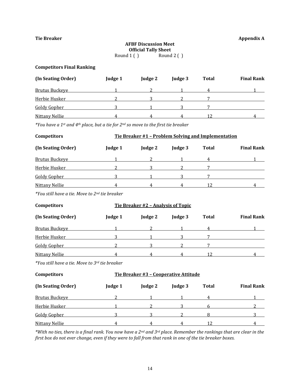#### **Tie Breaker Appendix A** Appendix A

#### **AFBF Discussion Meet Official Tally Sheet** Round 1 ( ) Round 2 ( )

#### **Competitors Final Ranking**

| (In Seating Order)    | Judge 1 | Judge 2 | Judge 3 | <b>Total</b> | <b>Final Rank</b> |
|-----------------------|---------|---------|---------|--------------|-------------------|
| <b>Brutus Buckeye</b> |         |         |         |              |                   |
| Herbie Husker         |         |         |         |              |                   |
| <b>Goldy Gopher</b>   |         |         |         |              |                   |
| <b>Nittany Nellie</b> |         |         |         |              |                   |

*\*You have a 1st and 4th place, but a tie for 2nd so move to the first tie breaker*

| <b>Competitors</b>    | Tie Breaker #1 - Problem Solving and Implementation |         |         |       |                   |  |
|-----------------------|-----------------------------------------------------|---------|---------|-------|-------------------|--|
| (In Seating Order)    | Judge 1                                             | Judge 2 | Judge 3 | Total | <b>Final Rank</b> |  |
| <b>Brutus Buckeye</b> |                                                     |         |         |       |                   |  |
| Herbie Husker         |                                                     |         |         |       |                   |  |
| <b>Goldy Gopher</b>   |                                                     |         |         |       |                   |  |
| <b>Nittany Nellie</b> | 4                                                   |         |         | 12    |                   |  |

*\*You still have a tie. Move to 2nd tie breaker*

| Competitors           | Tie Breaker #2 - Analysis of Topic |  |              |                   |  |
|-----------------------|------------------------------------|--|--------------|-------------------|--|
| (In Seating Order)    | Judge 2<br>Judge 1<br>Judge 3      |  | <b>Total</b> | <b>Final Rank</b> |  |
| <b>Brutus Buckeye</b> |                                    |  |              |                   |  |
| Herbie Husker         |                                    |  |              |                   |  |
| <b>Goldy Gopher</b>   |                                    |  |              |                   |  |
| <b>Nittany Nellie</b> |                                    |  |              |                   |  |

*\*You still have a tie. Move to 3rd tie breaker*

| <b>Competitors</b>    | Tie Breaker #3 - Cooperative Attitude |         |         |              |                   |
|-----------------------|---------------------------------------|---------|---------|--------------|-------------------|
| (In Seating Order)    | Judge 1                               | Judge 2 | Judge 3 | <b>Total</b> | <b>Final Rank</b> |
| <b>Brutus Buckeye</b> |                                       |         |         |              |                   |
| Herbie Husker         |                                       |         |         |              |                   |
| <b>Goldy Gopher</b>   |                                       |         |         |              |                   |
| <b>Nittany Nellie</b> |                                       |         |         |              |                   |

*\*With no ties, there is a final rank. You now have a 2nd and 3rd place. Remember the rankings that are clear in the first box do not ever change, even if they were to fall from that rank in one of the tie breaker boxes.*